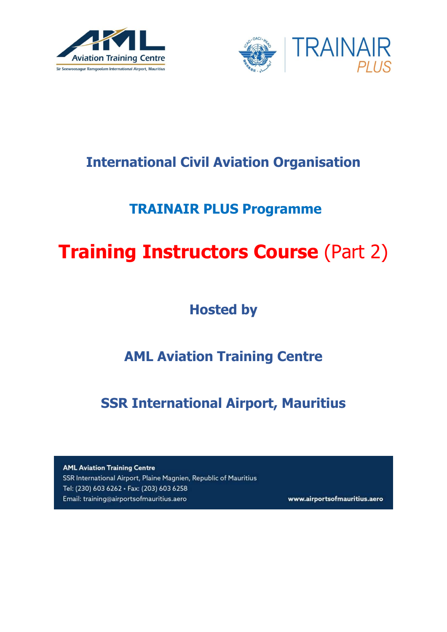



## **International Civil Aviation Organisation**

# **TRAINAIR PLUS Programme**

# **Training Instructors Course (Part 2)**

**Hosted by**

# **AML Aviation Training Centre**

**SSR International Airport, Mauritius**

**AML Aviation Training Centre** SSR International Airport, Plaine Magnien, Republic of Mauritius Tel: (230) 603 6262 · Fax: (203) 603 6258 Email: training@airportsofmauritius.aero

www.airportsofmauritius.aero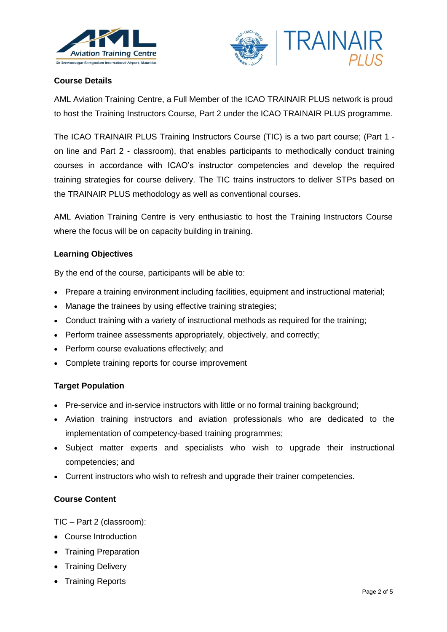



### **Course Details**

AML Aviation Training Centre, a Full Member of the ICAO TRAINAIR PLUS network is proud to host the Training Instructors Course, Part 2 under the ICAO TRAINAIR PLUS programme.

The ICAO TRAINAIR PLUS Training Instructors Course (TIC) is a two part course; (Part 1 on line and Part 2 - classroom), that enables participants to methodically conduct training courses in accordance with ICAO's instructor competencies and develop the required training strategies for course delivery. The TIC trains instructors to deliver STPs based on the TRAINAIR PLUS methodology as well as conventional courses.

AML Aviation Training Centre is very enthusiastic to host the Training Instructors Course where the focus will be on capacity building in training.

#### **Learning Objectives**

By the end of the course, participants will be able to:

- Prepare a training environment including facilities, equipment and instructional material;
- Manage the trainees by using effective training strategies;
- Conduct training with a variety of instructional methods as required for the training;
- Perform trainee assessments appropriately, objectively, and correctly;
- Perform course evaluations effectively; and
- Complete training reports for course improvement

#### **Target Population**

- Pre-service and in-service instructors with little or no formal training background;
- Aviation training instructors and aviation professionals who are dedicated to the implementation of competency-based training programmes;
- Subject matter experts and specialists who wish to upgrade their instructional competencies; and
- Current instructors who wish to refresh and upgrade their trainer competencies.

#### **Course Content**

TIC – Part 2 (classroom):

- Course Introduction
- Training Preparation
- Training Delivery
- Training Reports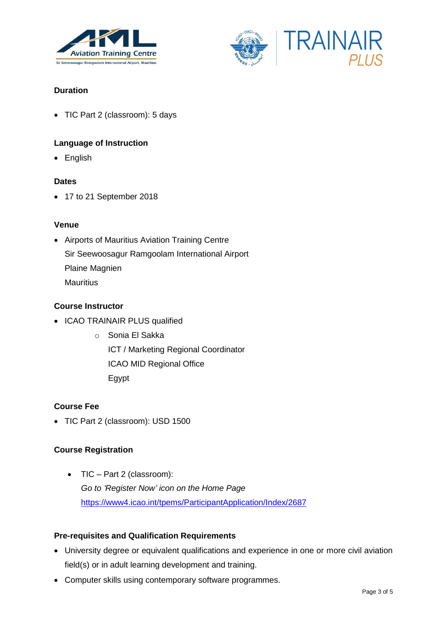



## **Duration**

• TIC Part 2 (classroom): 5 days

#### **Language of Instruction**

• English

#### **Dates**

● 17 to 21 September 2018

#### **Venue**

 Airports of Mauritius Aviation Training Centre Sir Seewoosagur Ramgoolam International Airport Plaine Magnien **Mauritius** 

#### **Course Instructor**

- ICAO TRAINAIR PLUS qualified
	- o Sonia El Sakka ICT / Marketing Regional Coordinator ICAO MID Regional Office Egypt

#### **Course Fee**

• TIC Part 2 (classroom): USD 1500

#### **Course Registration**

 TIC – Part 2 (classroom): *Go to 'Register Now' icon on the Home Page* <https://www4.icao.int/tpems/ParticipantApplication/Index/2687>

#### **Pre-requisites and Qualification Requirements**

- University degree or equivalent qualifications and experience in one or more civil aviation field(s) or in adult learning development and training.
- Computer skills using contemporary software programmes.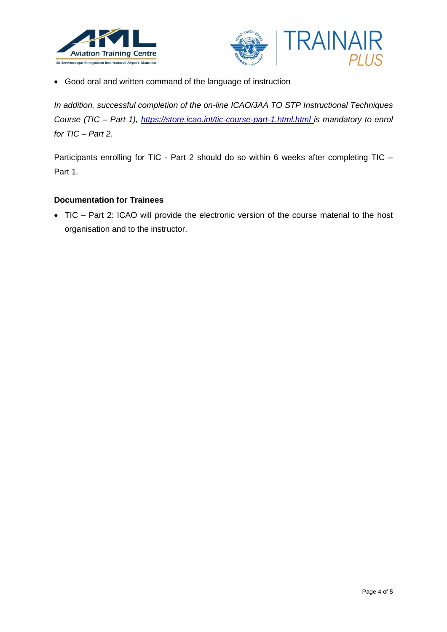



Good oral and written command of the language of instruction

*In addition, successful completion of the on-line ICAO/JAA TO STP Instructional Techniques Course (TIC – Part 1),<https://store.icao.int/tic-course-part-1.html.html> is mandatory to enrol for TIC – Part 2.*

Participants enrolling for TIC - Part 2 should do so within 6 weeks after completing TIC -Part 1.

#### **Documentation for Trainees**

 TIC – Part 2: ICAO will provide the electronic version of the course material to the host organisation and to the instructor.